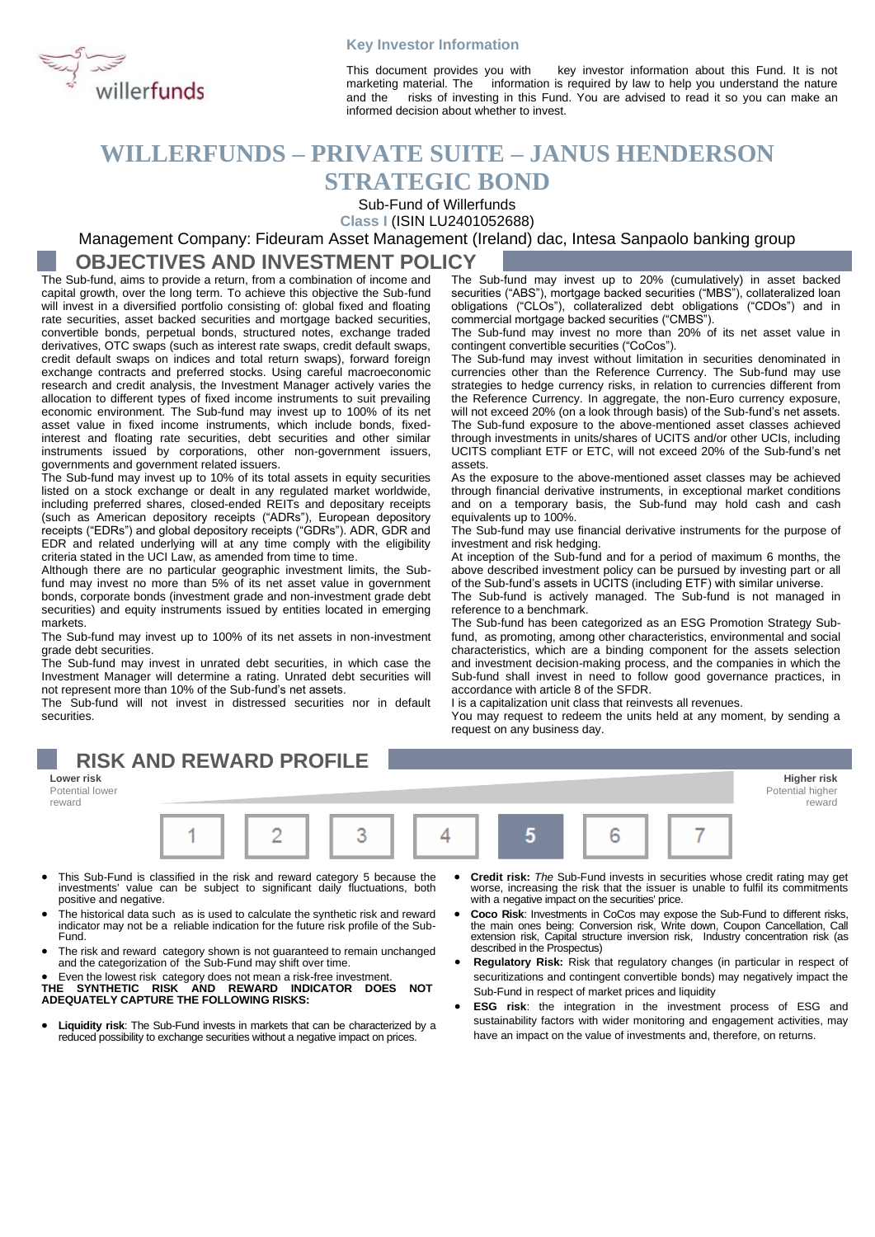

### **Key Investor Information**

This document provides you with key investor information about this Fund. It is not marketing material. The information is required by law to help you understand the nature and the risks of investing in this Fund. You are advised to read it so you can make an informed decision about whether to invest.

# **WILLERFUNDS – PRIVATE SUITE – JANUS HENDERSON**

## **STRATEGIC BOND**

Sub-Fund of Willerfunds

**Class I** (ISIN LU2401052688)

Management Company: Fideuram Asset Management (Ireland) dac, Intesa Sanpaolo banking group

### **OBJECTIVES AND INVESTMENT POLICY**

The Sub-fund, aims to provide a return, from a combination of income and capital growth, over the long term. To achieve this objective the Sub-fund will invest in a diversified portfolio consisting of: global fixed and floating rate securities, asset backed securities and mortgage backed securities, convertible bonds, perpetual bonds, structured notes, exchange traded derivatives, OTC swaps (such as interest rate swaps, credit default swaps, credit default swaps on indices and total return swaps), forward foreign exchange contracts and preferred stocks. Using careful macroeconomic research and credit analysis, the Investment Manager actively varies the allocation to different types of fixed income instruments to suit prevailing economic environment. The Sub-fund may invest up to 100% of its net asset value in fixed income instruments, which include bonds, fixedinterest and floating rate securities, debt securities and other similar instruments issued by corporations, other non-government issuers, governments and government related issuers.

The Sub-fund may invest up to 10% of its total assets in equity securities listed on a stock exchange or dealt in any regulated market worldwide, including preferred shares, closed-ended REITs and depositary receipts (such as American depository receipts ("ADRs"), European depository receipts ("EDRs") and global depository receipts ("GDRs"). ADR, GDR and EDR and related underlying will at any time comply with the eligibility criteria stated in the UCI Law, as amended from time to time.

Although there are no particular geographic investment limits, the Subfund may invest no more than 5% of its net asset value in government bonds, corporate bonds (investment grade and non-investment grade debt securities) and equity instruments issued by entities located in emerging markets.

The Sub-fund may invest up to 100% of its net assets in non-investment grade debt securities.

The Sub-fund may invest in unrated debt securities, in which case the Investment Manager will determine a rating. Unrated debt securities will not represent more than 10% of the Sub-fund's net assets.

The Sub-fund will not invest in distressed securities nor in default securities.

The Sub-fund may invest up to 20% (cumulatively) in asset backed securities ("ABS"), mortgage backed securities ("MBS"), collateralized loan obligations ("CLOs"), collateralized debt obligations ("CDOs") and in commercial mortgage backed securities ("CMBS").

The Sub-fund may invest no more than 20% of its net asset value in contingent convertible securities ("CoCos").

The Sub-fund may invest without limitation in securities denominated in currencies other than the Reference Currency. The Sub-fund may use strategies to hedge currency risks, in relation to currencies different from the Reference Currency. In aggregate, the non-Euro currency exposure, will not exceed 20% (on a look through basis) of the Sub-fund's net assets. The Sub-fund exposure to the above-mentioned asset classes achieved through investments in units/shares of UCITS and/or other UCIs, including UCITS compliant ETF or ETC, will not exceed 20% of the Sub-fund's net assets.

As the exposure to the above-mentioned asset classes may be achieved through financial derivative instruments, in exceptional market conditions and on a temporary basis, the Sub-fund may hold cash and cash equivalents up to 100%.

The Sub-fund may use financial derivative instruments for the purpose of investment and risk hedging.

At inception of the Sub-fund and for a period of maximum 6 months, the above described investment policy can be pursued by investing part or all of the Sub-fund's assets in UCITS (including ETF) with similar universe.

The Sub-fund is actively managed. The Sub-fund is not managed in reference to a benchmark.

The Sub-fund has been categorized as an ESG Promotion Strategy Subfund, as promoting, among other characteristics, environmental and social characteristics, which are a binding component for the assets selection and investment decision-making process, and the companies in which the Sub-fund shall invest in need to follow good governance practices, in accordance with article 8 of the SFDR.

I is a capitalization unit class that reinvests all revenues.

You may request to redeem the units held at any moment, by sending a request on any business day.

#### **RISK AND REWARD PROFILE Lower risk Higher risk** Potential lower Potential higher reward reward 1 2 3 4 5 6

- This Sub-Fund is classified in the risk and reward category 5 because the investments' value can be subject to significant daily fluctuations, both positive and negative.
- The historical data such as is used to calculate the synthetic risk and reward indicator may not be a reliable indication for the future risk profile of the Sub-Fund.
- The risk and reward category shown is not guaranteed to remain unchanged and the categorization of the Sub-Fund may shift over time.

• Even the lowest risk category does not mean a risk-free investment. **THE SYNTHETIC RISK AND REWARD INDICATOR DOES NOT ADEQUATELY CAPTURE THE FOLLOWING RISKS:**

- **Liquidity risk**: The Sub-Fund invests in markets that can be characterized by a reduced possibility to exchange securities without a negative impact on prices.
- **Credit risk:** *The* Sub-Fund invests in securities whose credit rating may get worse, increasing the risk that the issuer is unable to fulfil its commitments with a negative impact on the securities' price.
- Coco Risk: Investments in CoCos may expose the Sub-Fund to different risks, the main ones being: Conversion risk, Write down, Coupon Cancellation, Call extension risk, Capital structure inversion risk, Industry concentra described in the Prospectus)
- **Regulatory Risk:** Risk that regulatory changes (in particular in respect of securitizations and contingent convertible bonds) may negatively impact the Sub-Fund in respect of market prices and liquidity
- **ESG risk**: the integration in the investment process of ESG and sustainability factors with wider monitoring and engagement activities, may have an impact on the value of investments and, therefore, on returns.